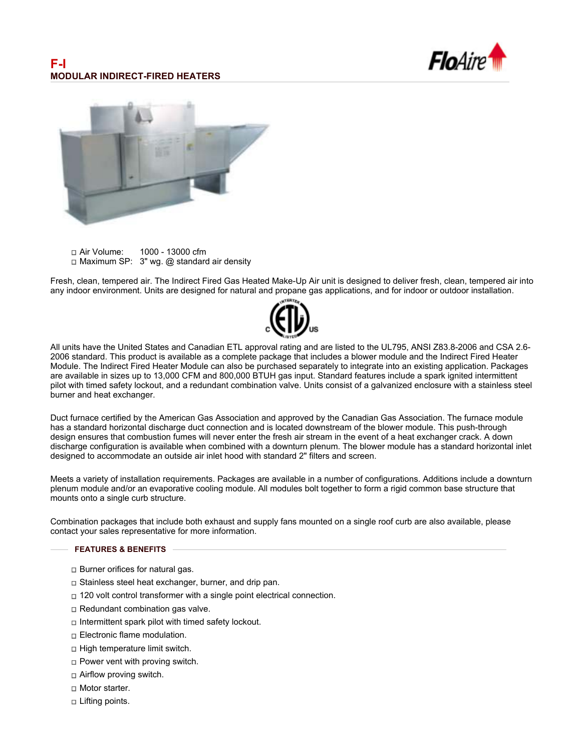



Air Volume: 1000 - 13000 cfm  $\Box$  Maximum SP: 3" wg. @ standard air density

Fresh, clean, tempered air. The Indirect Fired Gas Heated Make-Up Air unit is designed to deliver fresh, clean, tempered air into any indoor environment. Units are designed for natural and propane gas applications, and for indoor or outdoor installation.



All units have the United States and Canadian ETL approval rating and are listed to the UL795, ANSI Z83.8-2006 and CSA 2.6- 2006 standard. This product is available as a complete package that includes a blower module and the Indirect Fired Heater Module. The Indirect Fired Heater Module can also be purchased separately to integrate into an existing application. Packages are available in sizes up to 13,000 CFM and 800,000 BTUH gas input. Standard features include a spark ignited intermittent pilot with timed safety lockout, and a redundant combination valve. Units consist of a galvanized enclosure with a stainless steel burner and heat exchanger.

Duct furnace certified by the American Gas Association and approved by the Canadian Gas Association. The furnace module has a standard horizontal discharge duct connection and is located downstream of the blower module. This push-through design ensures that combustion fumes will never enter the fresh air stream in the event of a heat exchanger crack. A down discharge configuration is available when combined with a downturn plenum. The blower module has a standard horizontal inlet designed to accommodate an outside air inlet hood with standard 2" filters and screen.

Meets a variety of installation requirements. Packages are available in a number of configurations. Additions include a downturn plenum module and/or an evaporative cooling module. All modules bolt together to form a rigid common base structure that mounts onto a single curb structure.

Combination packages that include both exhaust and supply fans mounted on a single roof curb are also available, please contact your sales representative for more information.

## **FEATURES & BENEFITS**

- □ Burner orifices for natural gas.
- □ Stainless steel heat exchanger, burner, and drip pan.
- □ 120 volt control transformer with a single point electrical connection.
- $\Box$  Redundant combination gas valve.
- $\Box$  Intermittent spark pilot with timed safety lockout.
- □ Electronic flame modulation.
- $\Box$  High temperature limit switch.
- $\Box$  Power vent with proving switch.
- $\Box$  Airflow proving switch.
- Motor starter.
- $\Box$  Lifting points.